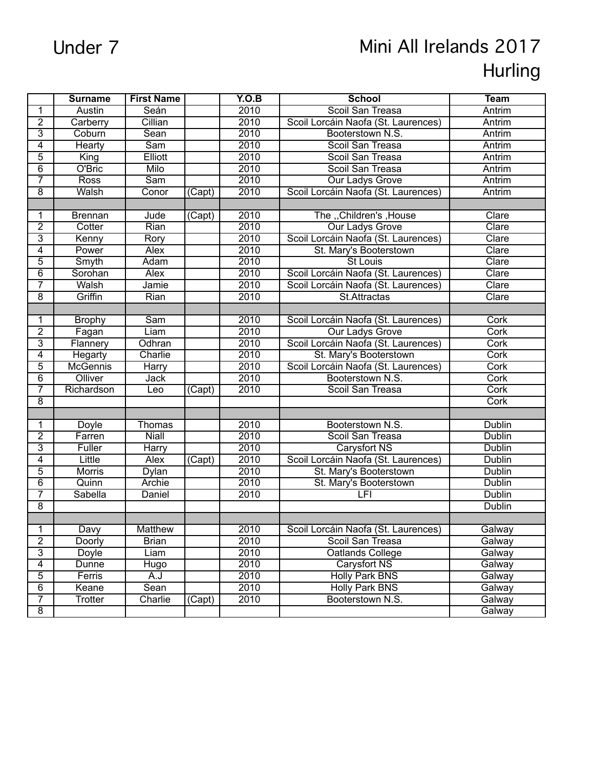## Under 7 Mini All Irelands 2017 Hurling

|                | <b>Surname</b>  | <b>First Name</b> |                     | Y.O.B | <b>School</b>                       | <b>Team</b>   |
|----------------|-----------------|-------------------|---------------------|-------|-------------------------------------|---------------|
| 1              | <b>Austin</b>   | Seán              |                     | 2010  | Scoil San Treasa                    | Antrim        |
| $\overline{2}$ | Carberry        | Cillian           |                     | 2010  | Scoil Lorcáin Naofa (St. Laurences) | Antrim        |
| $\overline{3}$ | Coburn          | Sean              |                     | 2010  | Booterstown N.S.                    | Antrim        |
| $\overline{4}$ | <b>Hearty</b>   | <b>Sam</b>        |                     | 2010  | Scoil San Treasa                    | Antrim        |
| 5              | King            | Elliott           |                     | 2010  | Scoil San Treasa                    | Antrim        |
| $\overline{6}$ | O'Bric          | Milo              |                     | 2010  | Scoil San Treasa                    | Antrim        |
| 7              | <b>Ross</b>     | <b>Sam</b>        |                     | 2010  | <b>Our Ladys Grove</b>              | Antrim        |
| $\overline{8}$ | Walsh           | Conor             | (Capt)              | 2010  | Scoil Lorcáin Naofa (St. Laurences) | Antrim        |
|                |                 |                   |                     |       |                                     |               |
| 1              | <b>Brennan</b>  | Jude              | (Capt)              | 2010  | The "Children's , House             | Clare         |
| $\overline{2}$ | Cotter          | Rian              |                     | 2010  | <b>Our Ladys Grove</b>              | Clare         |
| $\overline{3}$ | Kenny           | Rory              |                     | 2010  | Scoil Lorcáin Naofa (St. Laurences) | Clare         |
| 4              | Power           | <b>Alex</b>       |                     | 2010  | St. Mary's Booterstown              | Clare         |
| 5              | Smyth           | Adam              |                     | 2010  | <b>St Louis</b>                     | Clare         |
| $\overline{6}$ | Sorohan         | <b>Alex</b>       |                     | 2010  | Scoil Lorcáin Naofa (St. Laurences) | Clare         |
| 7              | Walsh           | Jamie             |                     | 2010  | Scoil Lorcáin Naofa (St. Laurences) | Clare         |
| $\overline{8}$ | Griffin         | Rian              |                     | 2010  | St.Attractas                        | Clare         |
|                |                 |                   |                     |       |                                     |               |
| 1              | <b>Brophy</b>   | Sam               |                     | 2010  | Scoil Lorcáin Naofa (St. Laurences) | Cork          |
| $\overline{2}$ | Fagan           | Liam              |                     | 2010  | <b>Our Ladys Grove</b>              | Cork          |
| $\overline{3}$ | Flannery        | Odhran            |                     | 2010  | Scoil Lorcáin Naofa (St. Laurences) | Cork          |
| $\overline{4}$ | Hegarty         | Charlie           |                     | 2010  | St. Mary's Booterstown              | Cork          |
| $\overline{5}$ | <b>McGennis</b> | Harry             |                     | 2010  | Scoil Lorcáin Naofa (St. Laurences) | Cork          |
| $\overline{6}$ | Olliver         | <b>Jack</b>       |                     | 2010  | Booterstown N.S.                    | Cork          |
| 7              | Richardson      | Leo               | $\overline{(Capt)}$ | 2010  | Scoil San Treasa                    | Cork          |
| $\overline{8}$ |                 |                   |                     |       |                                     | Cork          |
|                |                 |                   |                     |       |                                     |               |
| 1              | <b>Doyle</b>    | Thomas            |                     | 2010  | Booterstown N.S.                    | <b>Dublin</b> |
| $\overline{2}$ | Farren          | <b>Niall</b>      |                     | 2010  | Scoil San Treasa                    | Dublin        |
| $\overline{3}$ | Fuller          | <b>Harry</b>      |                     | 2010  | <b>Carysfort NS</b>                 | <b>Dublin</b> |
| $\overline{4}$ | Little          | <b>Alex</b>       | (Capt)              | 2010  | Scoil Lorcáin Naofa (St. Laurences) | <b>Dublin</b> |
| 5              | <b>Morris</b>   | <b>Dylan</b>      |                     | 2010  | St. Mary's Booterstown              | <b>Dublin</b> |
| $\overline{6}$ | Quinn           | <b>Archie</b>     |                     | 2010  | St. Mary's Booterstown              | <b>Dublin</b> |
| 7              | Sabella         | Daniel            |                     | 2010  | LFI                                 | Dublin        |
| $\overline{8}$ |                 |                   |                     |       |                                     | <b>Dublin</b> |
|                |                 |                   |                     |       |                                     |               |
| 1              | Davy            | Matthew           |                     | 2010  | Scoil Lorcáin Naofa (St. Laurences) | Galway        |
| $\overline{2}$ | <b>Doorly</b>   | <b>Brian</b>      |                     | 2010  | Scoil San Treasa                    | Galway        |
| $\overline{3}$ | Doyle           | Liam              |                     | 2010  | Oatlands College                    | Galway        |
| $\overline{4}$ | Dunne           | Hugo              |                     | 2010  | Carysfort NS                        | Galway        |
| $\overline{5}$ | Ferris          | A.J               |                     | 2010  | Holly Park BNS                      | Galway        |
| $\overline{6}$ | Keane           | Sean              |                     | 2010  | <b>Holly Park BNS</b>               | Galway        |
| $\overline{7}$ | Trotter         | Charlie           | (Capt)              | 2010  | Booterstown N.S.                    | Galway        |
| $\overline{8}$ |                 |                   |                     |       |                                     | Galway        |